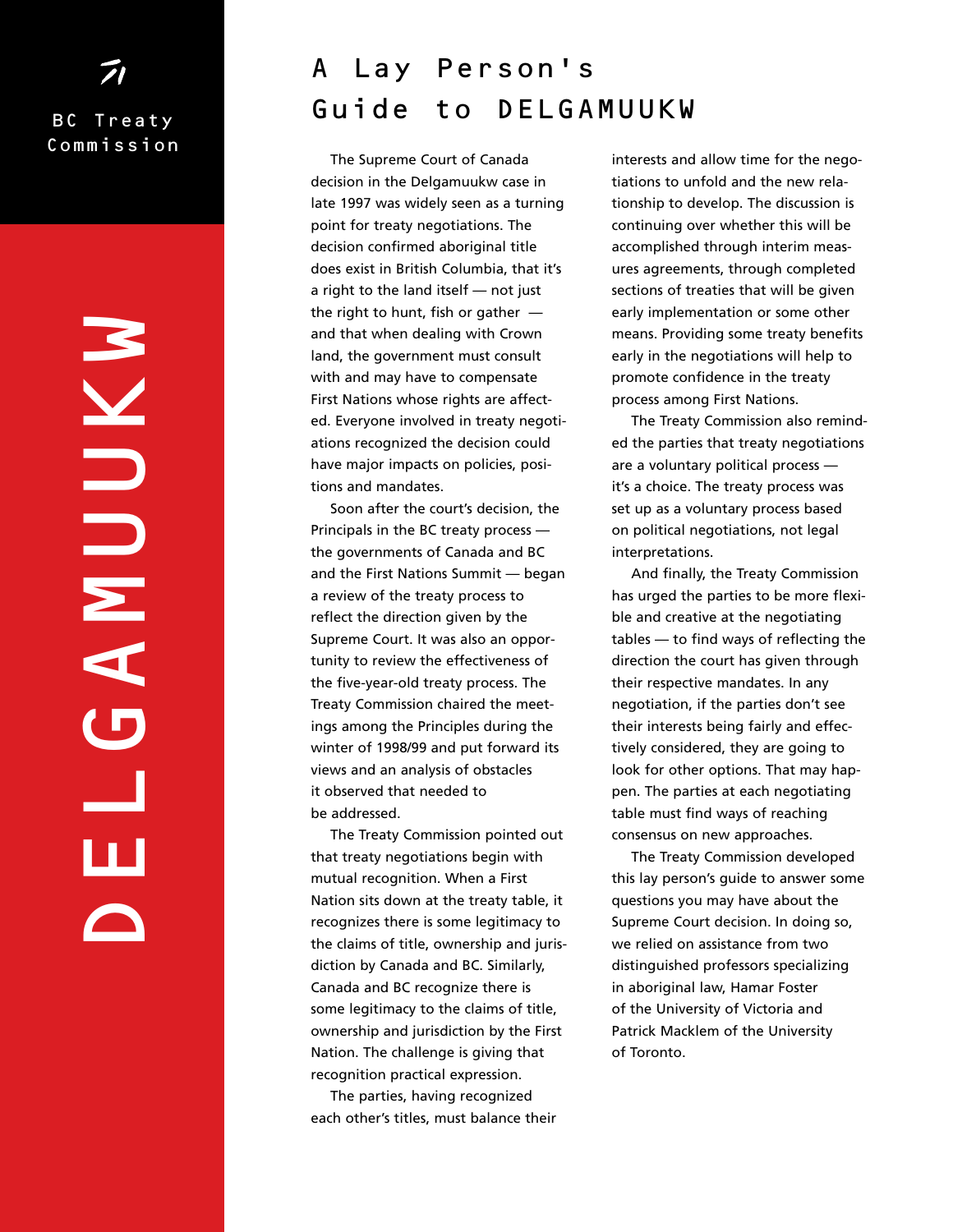# BC Treaty Commission

DELGAMUUKW **GANUIVA** Щ ш

# A Lay Person's Guide to DELGAMUUKW

The Supreme Court of Canada decision in the Delgamuukw case in late 1997 was widely seen as a turning point for treaty negotiations. The decision confirmed aboriginal title does exist in British Columbia, that it's a right to the land itself — not just the right to hunt, fish or gather  $$ and that when dealing with Crown land, the government must consult with and may have to compensate First Nations whose rights are affected. Everyone involved in treaty negotiations recognized the decision could have major impacts on policies, positions and mandates.

Soon after the court's decision, the Principals in the BC treaty process the governments of Canada and BC and the First Nations Summit — began a review of the treaty process to reflect the direction given by the Supreme Court. It was also an opportunity to review the effectiveness of the five-year-old treaty process. The Treaty Commission chaired the meetings among the Principles during the winter of 1998/99 and put forward its views and an analysis of obstacles it observed that needed to be addressed.

The Treaty Commission pointed out that treaty negotiations begin with mutual recognition. When a First Nation sits down at the treaty table, it recognizes there is some legitimacy to the claims of title, ownership and jurisdiction by Canada and BC. Similarly, Canada and BC recognize there is some legitimacy to the claims of title, ownership and jurisdiction by the First Nation. The challenge is giving that recognition practical expression.

The parties, having recognized each other's titles, must balance their

interests and allow time for the negotiations to unfold and the new relationship to develop. The discussion is continuing over whether this will be accomplished through interim measures agreements, through completed sections of treaties that will be given early implementation or some other means. Providing some treaty benefits early in the negotiations will help to promote confidence in the treaty process among First Nations.

The Treaty Commission also reminded the parties that treaty negotiations are a voluntary political process it's a choice. The treaty process was set up as a voluntary process based on political negotiations, not legal interpretations.

And finally, the Treaty Commission has urged the parties to be more flexible and creative at the negotiating tables — to find ways of reflecting the direction the court has given through their respective mandates. In any negotiation, if the parties don't see their interests being fairly and effectively considered, they are going to look for other options. That may happen. The parties at each negotiating table must find ways of reaching consensus on new approaches.

The Treaty Commission developed this lay person's guide to answer some questions you may have about the Supreme Court decision. In doing so, we relied on assistance from two distinguished professors specializing in aboriginal law, Hamar Foster of the University of Victoria and Patrick Macklem of the University of Toronto.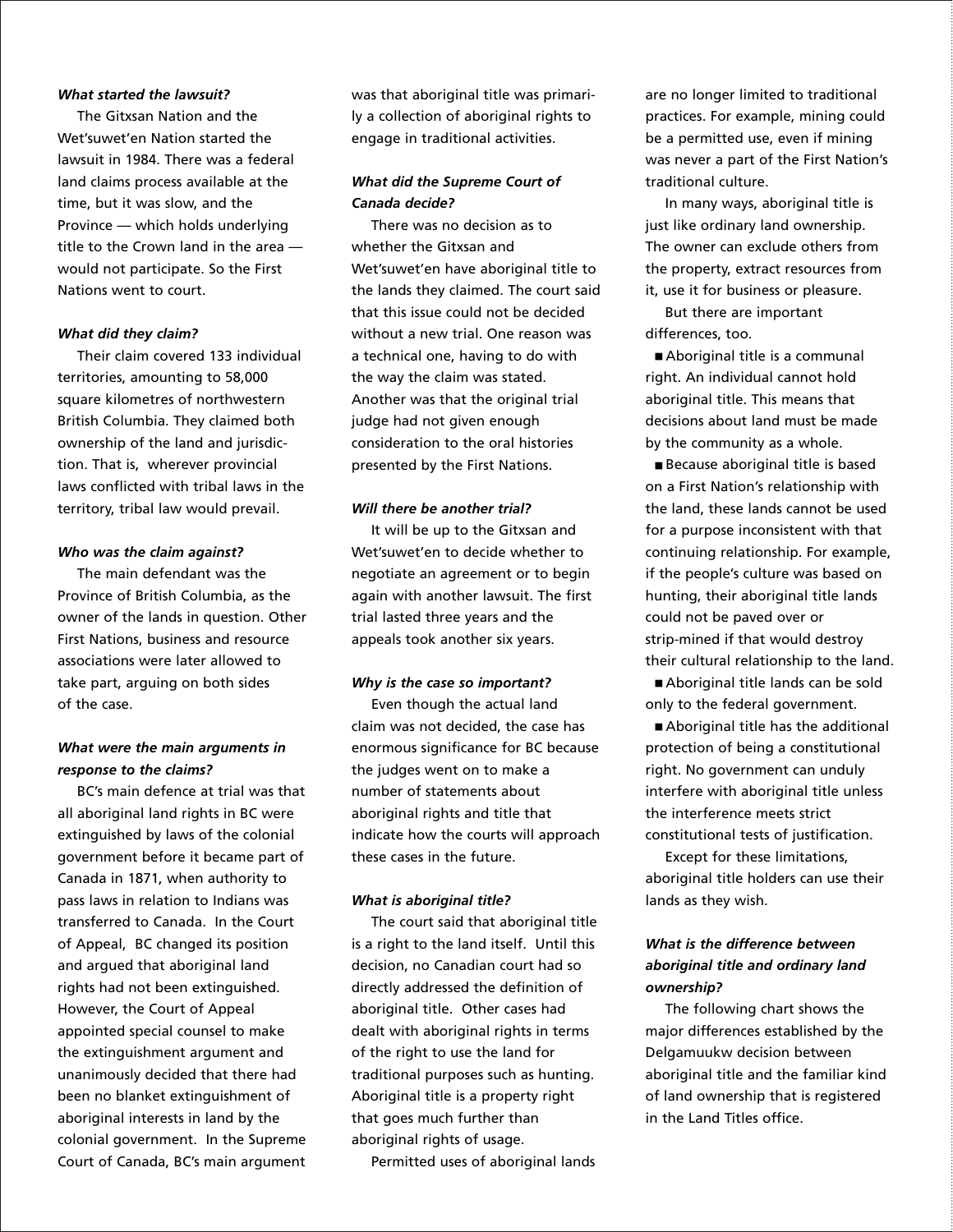#### *What started the lawsuit?*

The Gitxsan Nation and the Wet'suwet'en Nation started the lawsuit in 1984. There was a federal land claims process available at the time, but it was slow, and the Province — which holds underlying title to the Crown land in the area would not participate. So the First Nations went to court.

#### *What did they claim?*

Their claim covered 133 individual territories, amounting to 58,000 square kilometres of northwestern British Columbia. They claimed both ownership of the land and jurisdiction. That is, wherever provincial laws conflicted with tribal laws in the territory, tribal law would prevail.

#### *Who was the claim against?*

The main defendant was the Province of British Columbia, as the owner of the lands in question. Other First Nations, business and resource associations were later allowed to take part, arguing on both sides of the case.

# *What were the main arguments in response to the claims?*

BC's main defence at trial was that all aboriginal land rights in BC were extinguished by laws of the colonial government before it became part of Canada in 1871, when authority to pass laws in relation to Indians was transferred to Canada. In the Court of Appeal, BC changed its position and argued that aboriginal land rights had not been extinguished. However, the Court of Appeal appointed special counsel to make the extinguishment argument and unanimously decided that there had been no blanket extinguishment of aboriginal interests in land by the colonial government. In the Supreme Court of Canada, BC's main argument was that aboriginal title was primarily a collection of aboriginal rights to engage in traditional activities.

# *What did the Supreme Court of Canada decide?*

There was no decision as to whether the Gitxsan and Wet'suwet'en have aboriginal title to the lands they claimed. The court said that this issue could not be decided without a new trial. One reason was a technical one, having to do with the way the claim was stated. Another was that the original trial judge had not given enough consideration to the oral histories presented by the First Nations.

#### *Will there be another trial?*

It will be up to the Gitxsan and Wet'suwet'en to decide whether to negotiate an agreement or to begin again with another lawsuit. The first trial lasted three years and the appeals took another six years.

#### *Why is the case so important?*

Even though the actual land claim was not decided, the case has enormous significance for BC because the judges went on to make a number of statements about aboriginal rights and title that indicate how the courts will approach these cases in the future.

#### *What is aboriginal title?*

The court said that aboriginal title is a right to the land itself. Until this decision, no Canadian court had so directly addressed the definition of aboriginal title. Other cases had dealt with aboriginal rights in terms of the right to use the land for traditional purposes such as hunting. Aboriginal title is a property right that goes much further than aboriginal rights of usage.

Permitted uses of aboriginal lands

are no longer limited to traditional practices. For example, mining could be a permitted use, even if mining was never a part of the First Nation's traditional culture.

In many ways, aboriginal title is just like ordinary land ownership. The owner can exclude others from the property, extract resources from it, use it for business or pleasure.

But there are important differences, too.

■ Aboriginal title is a communal right. An individual cannot hold aboriginal title. This means that decisions about land must be made by the community as a whole.

■ Because aboriginal title is based on a First Nation's relationship with the land, these lands cannot be used for a purpose inconsistent with that continuing relationship. For example, if the people's culture was based on hunting, their aboriginal title lands could not be paved over or strip-mined if that would destroy their cultural relationship to the land.

■ Aboriginal title lands can be sold only to the federal government.

■ Aboriginal title has the additional protection of being a constitutional right. No government can unduly interfere with aboriginal title unless the interference meets strict constitutional tests of justification.

Except for these limitations, aboriginal title holders can use their lands as they wish.

# *What is the difference between aboriginal title and ordinary land ownership?*

The following chart shows the major differences established by the Delgamuukw decision between aboriginal title and the familiar kind of land ownership that is registered in the Land Titles office.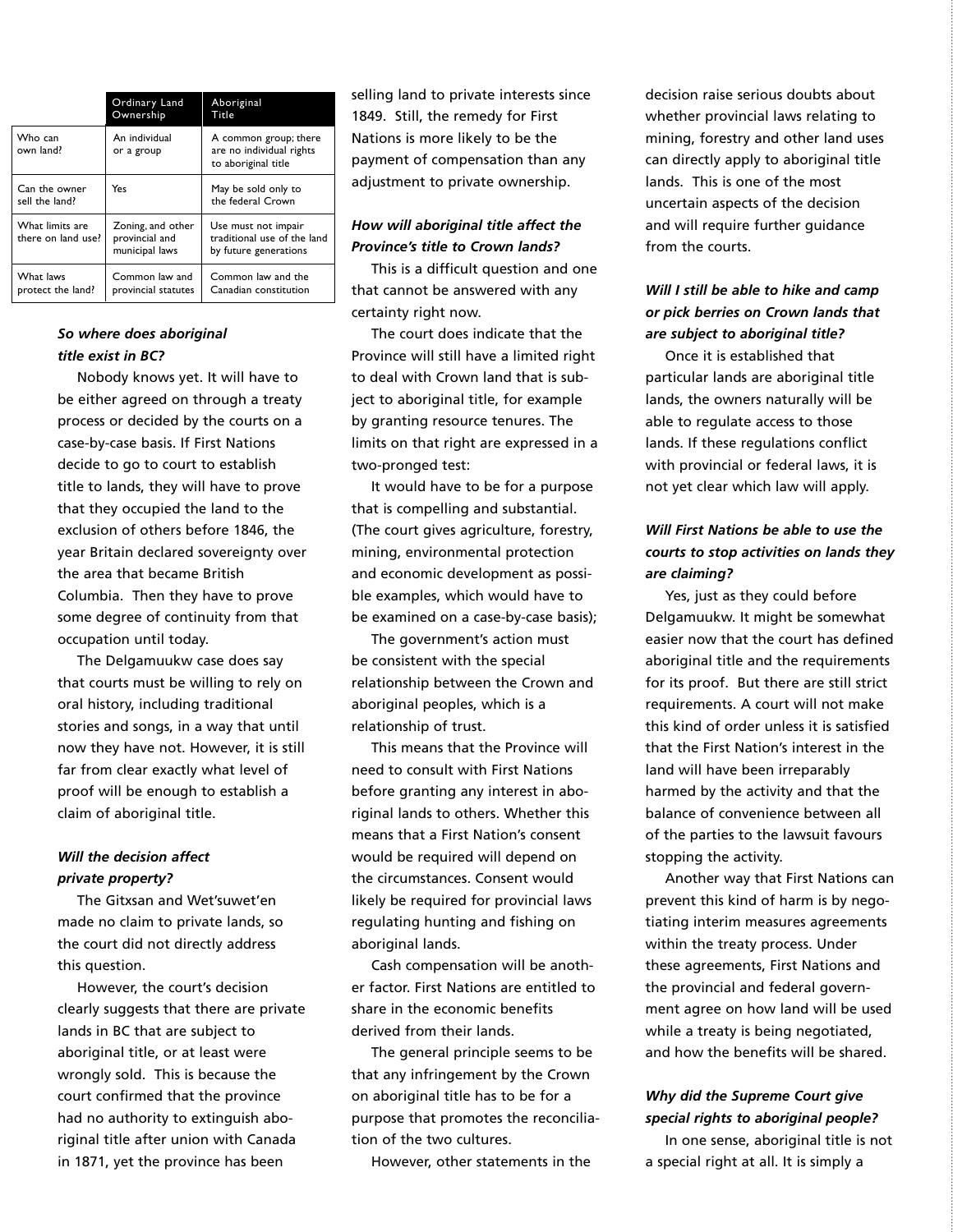|                                       | Ordinary Land<br>Ownership                            | Aboriginal<br>Title                                                         |
|---------------------------------------|-------------------------------------------------------|-----------------------------------------------------------------------------|
| Who can<br>own land?                  | An individual<br>or a group                           | A common group; there<br>are no individual rights<br>to aboriginal title    |
| Can the owner<br>sell the land?       | Yes                                                   | May be sold only to<br>the federal Crown                                    |
| What limits are<br>there on land use? | Zoning, and other<br>provincial and<br>municipal laws | Use must not impair<br>traditional use of the land<br>by future generations |
| What laws<br>protect the land?        | Common law and<br>provincial statutes                 | Common law and the<br>Canadian constitution                                 |

## *So where does aboriginal title exist in BC?*

Nobody knows yet. It will have to be either agreed on through a treaty process or decided by the courts on a case-by-case basis. If First Nations decide to go to court to establish title to lands, they will have to prove that they occupied the land to the exclusion of others before 1846, the year Britain declared sovereignty over the area that became British Columbia. Then they have to prove some degree of continuity from that occupation until today.

The Delgamuukw case does say that courts must be willing to rely on oral history, including traditional stories and songs, in a way that until now they have not. However, it is still far from clear exactly what level of proof will be enough to establish a claim of aboriginal title.

### *Will the decision affect private property?*

The Gitxsan and Wet'suwet'en made no claim to private lands, so the court did not directly address this question.

However, the court's decision clearly suggests that there are private lands in BC that are subject to aboriginal title, or at least were wrongly sold. This is because the court confirmed that the province had no authority to extinguish aboriginal title after union with Canada in 1871, yet the province has been

selling land to private interests since 1849. Still, the remedy for First Nations is more likely to be the payment of compensation than any adjustment to private ownership.

# *How will aboriginal title affect the Province's title to Crown lands?*

This is a difficult question and one that cannot be answered with any certainty right now.

The court does indicate that the Province will still have a limited right to deal with Crown land that is subject to aboriginal title, for example by granting resource tenures. The limits on that right are expressed in a two-pronged test:

It would have to be for a purpose that is compelling and substantial. (The court gives agriculture, forestry, mining, environmental protection and economic development as possible examples, which would have to be examined on a case-by-case basis);

The government's action must be consistent with the special relationship between the Crown and aboriginal peoples, which is a relationship of trust.

This means that the Province will need to consult with First Nations before granting any interest in aboriginal lands to others. Whether this means that a First Nation's consent would be required will depend on the circumstances. Consent would likely be required for provincial laws regulating hunting and fishing on aboriginal lands.

Cash compensation will be another factor. First Nations are entitled to share in the economic benefits derived from their lands.

The general principle seems to be that any infringement by the Crown on aboriginal title has to be for a purpose that promotes the reconciliation of the two cultures.

However, other statements in the

decision raise serious doubts about whether provincial laws relating to mining, forestry and other land uses can directly apply to aboriginal title lands. This is one of the most uncertain aspects of the decision and will require further guidance from the courts.

# *Will I still be able to hike and camp or pick berries on Crown lands that are subject to aboriginal title?*

Once it is established that particular lands are aboriginal title lands, the owners naturally will be able to regulate access to those lands. If these regulations conflict with provincial or federal laws, it is not yet clear which law will apply.

# *Will First Nations be able to use the courts to stop activities on lands they are claiming?*

Yes, just as they could before Delgamuukw. It might be somewhat easier now that the court has defined aboriginal title and the requirements for its proof. But there are still strict requirements. A court will not make this kind of order unless it is satisfied that the First Nation's interest in the land will have been irreparably harmed by the activity and that the balance of convenience between all of the parties to the lawsuit favours stopping the activity.

Another way that First Nations can prevent this kind of harm is by negotiating interim measures agreements within the treaty process. Under these agreements, First Nations and the provincial and federal government agree on how land will be used while a treaty is being negotiated, and how the benefits will be shared.

# *Why did the Supreme Court give special rights to aboriginal people?*

In one sense, aboriginal title is not a special right at all. It is simply a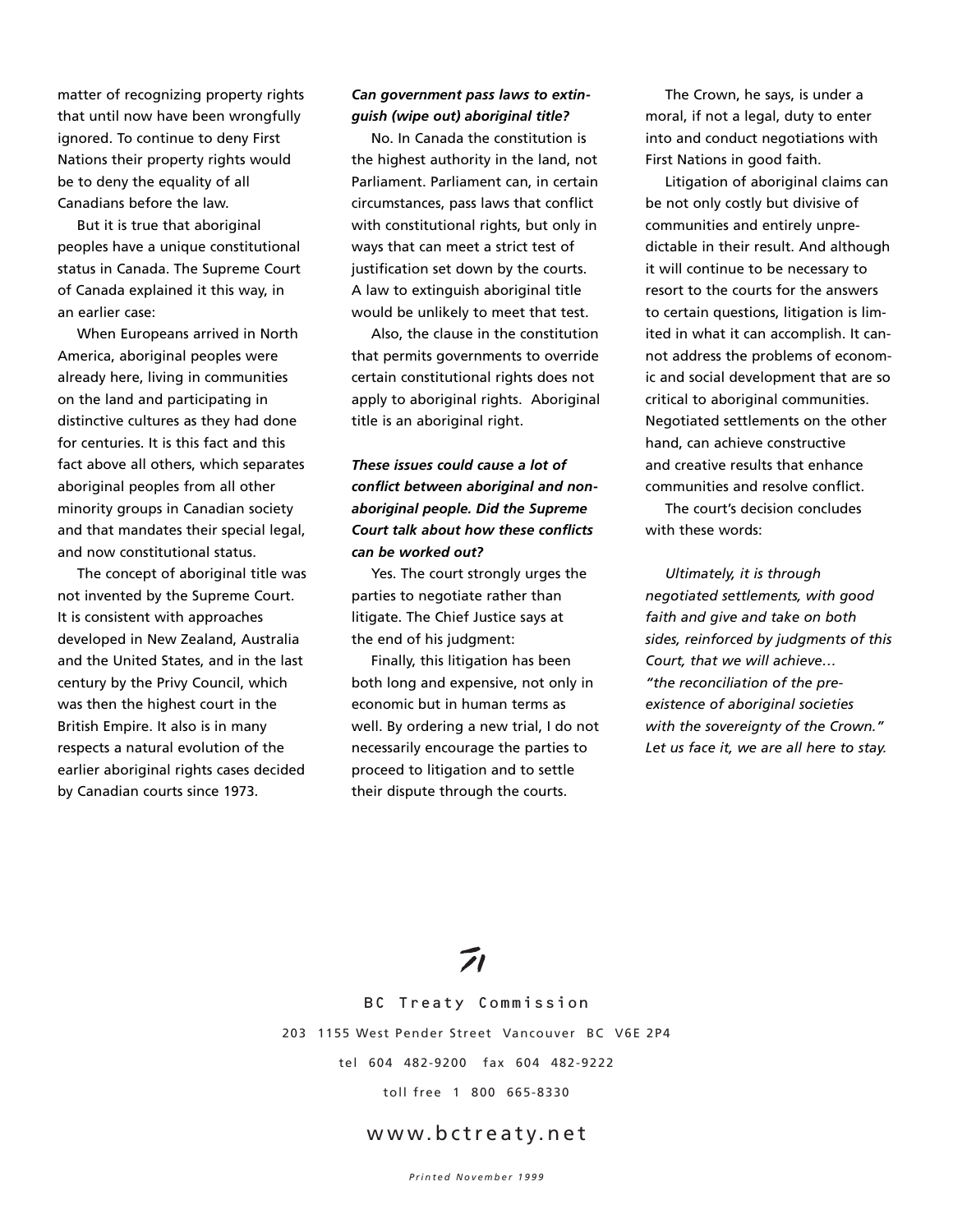matter of recognizing property rights that until now have been wrongfully ignored. To continue to deny First Nations their property rights would be to deny the equality of all Canadians before the law.

But it is true that aboriginal peoples have a unique constitutional status in Canada. The Supreme Court of Canada explained it this way, in an earlier case:

When Europeans arrived in North America, aboriginal peoples were already here, living in communities on the land and participating in distinctive cultures as they had done for centuries. It is this fact and this fact above all others, which separates aboriginal peoples from all other minority groups in Canadian society and that mandates their special legal, and now constitutional status.

The concept of aboriginal title was not invented by the Supreme Court. It is consistent with approaches developed in New Zealand, Australia and the United States, and in the last century by the Privy Council, which was then the highest court in the British Empire. It also is in many respects a natural evolution of the earlier aboriginal rights cases decided by Canadian courts since 1973.

### *Can government pass laws to extinguish (wipe out) aboriginal title?*

No. In Canada the constitution is the highest authority in the land, not Parliament. Parliament can, in certain circumstances, pass laws that conflict with constitutional rights, but only in ways that can meet a strict test of justification set down by the courts. A law to extinguish aboriginal title would be unlikely to meet that test.

Also, the clause in the constitution that permits governments to override certain constitutional rights does not apply to aboriginal rights. Aboriginal title is an aboriginal right.

# *These issues could cause a lot of conflict between aboriginal and nonaboriginal people. Did the Supreme Court talk about how these conflicts can be worked out?*

Yes. The court strongly urges the parties to negotiate rather than litigate. The Chief Justice says at the end of his judgment:

Finally, this litigation has been both long and expensive, not only in economic but in human terms as well. By ordering a new trial, I do not necessarily encourage the parties to proceed to litigation and to settle their dispute through the courts.

The Crown, he says, is under a moral, if not a legal, duty to enter into and conduct negotiations with First Nations in good faith.

Litigation of aboriginal claims can be not only costly but divisive of communities and entirely unpredictable in their result. And although it will continue to be necessary to resort to the courts for the answers to certain questions, litigation is limited in what it can accomplish. It cannot address the problems of economic and social development that are so critical to aboriginal communities. Negotiated settlements on the other hand, can achieve constructive and creative results that enhance communities and resolve conflict.

The court's decision concludes with these words:

*Ultimately, it is through negotiated settlements, with good faith and give and take on both sides, reinforced by judgments of this Court, that we will achieve… "the reconciliation of the preexistence of aboriginal societies with the sovereignty of the Crown." Let us face it, we are all here to stay.*

BC Treaty Commission 203 1155 West Pender Street Vancouver BC V6E 2P4 tel 604 482-9200 fax 604 482-9222 toll free 1 800 665-8330

# www.bctreaty.net